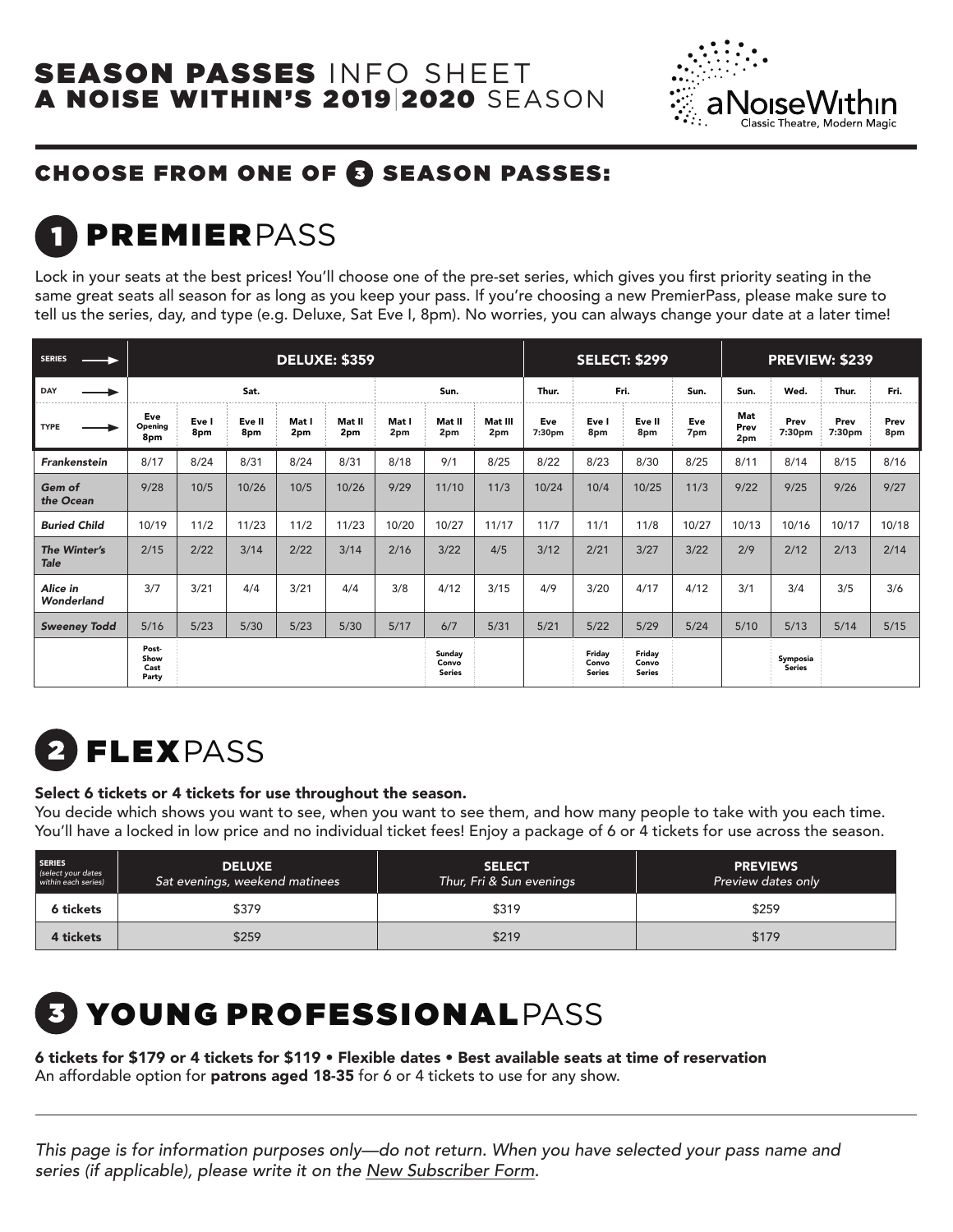

### CHOOSE FROM ONE OF @ SEASON PASSES:

## **PREMIERPASS**

Lock in your seats at the best prices! You'll choose one of the pre-set series, which gives you frst priority seating in the same great seats all season for as long as you keep your pass. If you're choosing a new PremierPass, please make sure to tell us the series, day, and type (e.g. Deluxe, Sat Eve I, 8pm). No worries, you can always change your date at a later time!

| <b>SERIES</b>               | <b>DELUXE: \$359</b>           |              |               |              |               |              | <b>SELECT: \$299</b>             |                |               | <b>PREVIEW: \$239</b>            |                                  |            |                    |                           |                |             |
|-----------------------------|--------------------------------|--------------|---------------|--------------|---------------|--------------|----------------------------------|----------------|---------------|----------------------------------|----------------------------------|------------|--------------------|---------------------------|----------------|-------------|
| DAY                         | Sat.                           |              |               | Sun.         |               | Thur.        |                                  | Fri.           | Sun.          | Sun.                             | Wed.                             | Thur.      | Fri.               |                           |                |             |
| <b>TYPE</b>                 | Eve<br>Opening<br>8pm          | Eve I<br>8pm | Eve II<br>8pm | Mat I<br>2pm | Mat II<br>2pm | Mat I<br>2pm | Mat II<br>2pm                    | Mat III<br>2pm | Eve<br>7:30pm | Eve I<br>8pm                     | Eve II<br>8pm                    | Eve<br>7pm | Mat<br>Prev<br>2pm | Prev<br>7:30pm            | Prev<br>7:30pm | Prev<br>8pm |
| <b>Frankenstein</b>         | 8/17                           | 8/24         | 8/31          | 8/24         | 8/31          | 8/18         | 9/1                              | 8/25           | 8/22          | 8/23                             | 8/30                             | 8/25       | 8/11               | 8/14                      | 8/15           | 8/16        |
| Gem of<br>the Ocean         | 9/28                           | 10/5         | 10/26         | 10/5         | 10/26         | 9/29         | 11/10                            | 11/3           | 10/24         | 10/4                             | 10/25                            | 11/3       | 9/22               | 9/25                      | 9/26           | 9/27        |
| <b>Buried Child</b>         | 10/19                          | 11/2         | 11/23         | 11/2         | 11/23         | 10/20        | 10/27                            | 11/17          | 11/7          | 11/1                             | 11/8                             | 10/27      | 10/13              | 10/16                     | 10/17          | 10/18       |
| The Winter's<br><b>Tale</b> | 2/15                           | 2/22         | 3/14          | 2/22         | 3/14          | 2/16         | 3/22                             | 4/5            | 3/12          | 2/21                             | 3/27                             | 3/22       | 2/9                | 2/12                      | 2/13           | 2/14        |
| Alice in<br>Wonderland      | 3/7                            | 3/21         | 4/4           | 3/21         | 4/4           | 3/8          | 4/12                             | 3/15           | 4/9           | 3/20                             | 4/17                             | 4/12       | 3/1                | 3/4                       | 3/5            | 3/6         |
| <b>Sweeney Todd</b>         | 5/16                           | 5/23         | $5/30$        | 5/23         | $5/30$        | 5/17         | 6/7                              | 5/31           | 5/21          | 5/22                             | 5/29                             | 5/24       | $5/10$             | 5/13                      | 5/14           | 5/15        |
|                             | Post-<br>Show<br>Cast<br>Party |              |               |              |               |              | Sunday<br>Convo<br><b>Series</b> |                |               | Friday<br>Convo<br><b>Series</b> | Friday<br>Convo<br><b>Series</b> |            |                    | Symposia<br><b>Series</b> |                |             |

# FLEXPASS

#### Select 6 tickets or 4 tickets for use throughout the season.

You decide which shows you want to see, when you want to see them, and how many people to take with you each time. You'll have a locked in low price and no individual ticket fees! Enjoy a package of 6 or 4 tickets for use across the season.

| <b>SERIES</b><br>(select your dates<br>within each series) | <b>DELUXE</b><br>Sat evenings, weekend matinees | <b>SELECT</b><br>Thur, Fri & Sun evenings | <b>PREVIEWS</b><br>Preview dates only |
|------------------------------------------------------------|-------------------------------------------------|-------------------------------------------|---------------------------------------|
| 6 tickets                                                  | \$379                                           | \$319                                     | \$259                                 |
| 4 tickets                                                  | \$259                                           | \$219                                     | \$179                                 |

## YOUNG PROFESSIONALPASS

6 tickets for \$179 or 4 tickets for \$119 • Flexible dates • Best available seats at time of reservation An affordable option for patrons aged 18-35 for 6 or 4 tickets to use for any show.

This page is for information purposes only—do not return. When you have selected your pass name and series (if applicable), please write it on the New Subscriber Form.